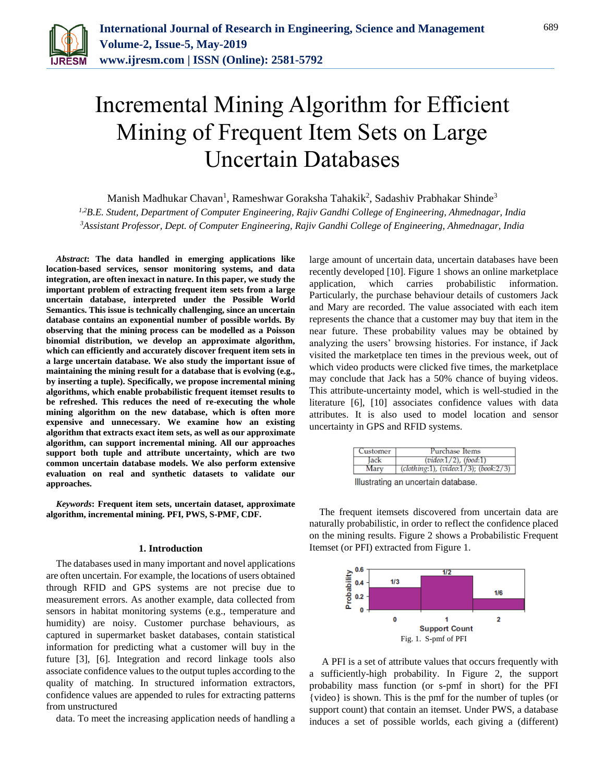

# Incremental Mining Algorithm for Efficient Mining of Frequent Item Sets on Large Uncertain Databases

Manish Madhukar Chavan $^1$ , Rameshwar Goraksha Tahakik $^2$ , Sadashiv Prabhakar Shinde $^3$ 

*1,2B.E. Student, Department of Computer Engineering, Rajiv Gandhi College of Engineering, Ahmednagar, India <sup>3</sup>Assistant Professor, Dept. of Computer Engineering, Rajiv Gandhi College of Engineering, Ahmednagar, India*

*Abstract***: The data handled in emerging applications like location-based services, sensor monitoring systems, and data integration, are often inexact in nature. In this paper, we study the important problem of extracting frequent item sets from a large uncertain database, interpreted under the Possible World Semantics. This issue is technically challenging, since an uncertain database contains an exponential number of possible worlds. By observing that the mining process can be modelled as a Poisson binomial distribution, we develop an approximate algorithm, which can efficiently and accurately discover frequent item sets in a large uncertain database. We also study the important issue of maintaining the mining result for a database that is evolving (e.g., by inserting a tuple). Specifically, we propose incremental mining algorithms, which enable probabilistic frequent itemset results to be refreshed. This reduces the need of re-executing the whole mining algorithm on the new database, which is often more expensive and unnecessary. We examine how an existing algorithm that extracts exact item sets, as well as our approximate algorithm, can support incremental mining. All our approaches support both tuple and attribute uncertainty, which are two common uncertain database models. We also perform extensive evaluation on real and synthetic datasets to validate our approaches.**

*Keywords***: Frequent item sets, uncertain dataset, approximate algorithm, incremental mining. PFI, PWS, S-PMF, CDF.**

## **1. Introduction**

The databases used in many important and novel applications are often uncertain. For example, the locations of users obtained through RFID and GPS systems are not precise due to measurement errors. As another example, data collected from sensors in habitat monitoring systems (e.g., temperature and humidity) are noisy. Customer purchase behaviours, as captured in supermarket basket databases, contain statistical information for predicting what a customer will buy in the future [3], [6]. Integration and record linkage tools also associate confidence values to the output tuples according to the quality of matching. In structured information extractors, confidence values are appended to rules for extracting patterns from unstructured

data. To meet the increasing application needs of handling a

large amount of uncertain data, uncertain databases have been recently developed [10]. Figure 1 shows an online marketplace application, which carries probabilistic information. Particularly, the purchase behaviour details of customers Jack and Mary are recorded. The value associated with each item represents the chance that a customer may buy that item in the near future. These probability values may be obtained by analyzing the users' browsing histories. For instance, if Jack visited the marketplace ten times in the previous week, out of which video products were clicked five times, the marketplace may conclude that Jack has a 50% chance of buying videos. This attribute-uncertainty model, which is well-studied in the literature [6], [10] associates confidence values with data attributes. It is also used to model location and sensor uncertainty in GPS and RFID systems.

| Customer                             | Purchase Items                                |  |  |
|--------------------------------------|-----------------------------------------------|--|--|
| $(video: 1/2)$ , $(food: 1)$<br>lack |                                               |  |  |
| Mary                                 | (clothing:1), (video: $1/3$ ); (book: $2/3$ ) |  |  |
|                                      | Illustrating an uncertain database.           |  |  |

The frequent itemsets discovered from uncertain data are naturally probabilistic, in order to reflect the confidence placed on the mining results. Figure 2 shows a Probabilistic Frequent Itemset (or PFI) extracted from Figure 1.



A PFI is a set of attribute values that occurs frequently with a sufficiently-high probability. In Figure 2, the support probability mass function (or s-pmf in short) for the PFI {video} is shown. This is the pmf for the number of tuples (or support count) that contain an itemset. Under PWS, a database induces a set of possible worlds, each giving a (different)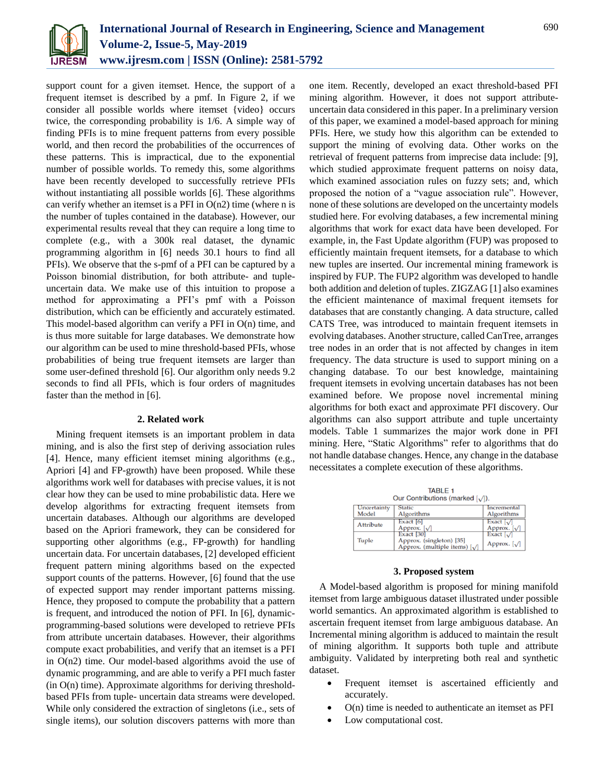

support count for a given itemset. Hence, the support of a frequent itemset is described by a pmf. In Figure 2, if we consider all possible worlds where itemset {video} occurs twice, the corresponding probability is 1/6. A simple way of finding PFIs is to mine frequent patterns from every possible world, and then record the probabilities of the occurrences of these patterns. This is impractical, due to the exponential number of possible worlds. To remedy this, some algorithms have been recently developed to successfully retrieve PFIs without instantiating all possible worlds [6]. These algorithms can verify whether an itemset is a PFI in  $O(n2)$  time (where n is the number of tuples contained in the database). However, our experimental results reveal that they can require a long time to complete (e.g., with a 300k real dataset, the dynamic programming algorithm in [6] needs 30.1 hours to find all PFIs). We observe that the s-pmf of a PFI can be captured by a Poisson binomial distribution, for both attribute- and tupleuncertain data. We make use of this intuition to propose a method for approximating a PFI's pmf with a Poisson distribution, which can be efficiently and accurately estimated. This model-based algorithm can verify a PFI in O(n) time, and is thus more suitable for large databases. We demonstrate how our algorithm can be used to mine threshold-based PFIs, whose probabilities of being true frequent itemsets are larger than some user-defined threshold [6]. Our algorithm only needs 9.2 seconds to find all PFIs, which is four orders of magnitudes faster than the method in [6].

### **2. Related work**

Mining frequent itemsets is an important problem in data mining, and is also the first step of deriving association rules [4]. Hence, many efficient itemset mining algorithms (e.g., Apriori [4] and FP-growth) have been proposed. While these algorithms work well for databases with precise values, it is not clear how they can be used to mine probabilistic data. Here we develop algorithms for extracting frequent itemsets from uncertain databases. Although our algorithms are developed based on the Apriori framework, they can be considered for supporting other algorithms (e.g., FP-growth) for handling uncertain data. For uncertain databases, [2] developed efficient frequent pattern mining algorithms based on the expected support counts of the patterns. However, [6] found that the use of expected support may render important patterns missing. Hence, they proposed to compute the probability that a pattern is frequent, and introduced the notion of PFI. In [6], dynamicprogramming-based solutions were developed to retrieve PFIs from attribute uncertain databases. However, their algorithms compute exact probabilities, and verify that an itemset is a PFI in O(n2) time. Our model-based algorithms avoid the use of dynamic programming, and are able to verify a PFI much faster  $(in O(n) time)$ . Approximate algorithms for deriving thresholdbased PFIs from tuple- uncertain data streams were developed. While only considered the extraction of singletons (i.e., sets of single items), our solution discovers patterns with more than

one item. Recently, developed an exact threshold-based PFI mining algorithm. However, it does not support attributeuncertain data considered in this paper. In a preliminary version of this paper, we examined a model-based approach for mining PFIs. Here, we study how this algorithm can be extended to support the mining of evolving data. Other works on the retrieval of frequent patterns from imprecise data include: [9], which studied approximate frequent patterns on noisy data, which examined association rules on fuzzy sets; and, which proposed the notion of a "vague association rule". However, none of these solutions are developed on the uncertainty models studied here. For evolving databases, a few incremental mining algorithms that work for exact data have been developed. For example, in, the Fast Update algorithm (FUP) was proposed to efficiently maintain frequent itemsets, for a database to which new tuples are inserted. Our incremental mining framework is inspired by FUP. The FUP2 algorithm was developed to handle both addition and deletion of tuples. ZIGZAG [1] also examines the efficient maintenance of maximal frequent itemsets for databases that are constantly changing. A data structure, called CATS Tree, was introduced to maintain frequent itemsets in evolving databases. Another structure, called CanTree, arranges tree nodes in an order that is not affected by changes in item frequency. The data structure is used to support mining on a changing database. To our best knowledge, maintaining frequent itemsets in evolving uncertain databases has not been examined before. We propose novel incremental mining algorithms for both exact and approximate PFI discovery. Our algorithms can also support attribute and tuple uncertainty models. Table 1 summarizes the major work done in PFI mining. Here, "Static Algorithms" refer to algorithms that do not handle database changes. Hence, any change in the database necessitates a complete execution of these algorithms.

| <b>TABLE 1</b><br>Our Contributions (marked $\lceil \sqrt{\cdot} \rceil$ ). |                                                                                           |                                        |  |  |  |  |
|-----------------------------------------------------------------------------|-------------------------------------------------------------------------------------------|----------------------------------------|--|--|--|--|
| Uncertainty                                                                 | <b>Static</b>                                                                             | Incremental                            |  |  |  |  |
| Model                                                                       | Algorithms                                                                                | Algorithms                             |  |  |  |  |
| <b>Attribute</b>                                                            | Exact $[6]$<br>Approx. $\lceil \sqrt{\ } \rceil$                                          | Exact $\sqrt{}$<br>Approx. $\sqrt{}$   |  |  |  |  |
| Tuple                                                                       | Exact [30]<br>Approx. (singleton) [35]<br>Approx. (multiple items) $\left[\sqrt{\right}]$ | Exact $\sqrt{\ }$<br>Approx. $[\sqrt]$ |  |  |  |  |

## **3. Proposed system**

A Model-based algorithm is proposed for mining manifold itemset from large ambiguous dataset illustrated under possible world semantics. An approximated algorithm is established to ascertain frequent itemset from large ambiguous database. An Incremental mining algorithm is adduced to maintain the result of mining algorithm. It supports both tuple and attribute ambiguity. Validated by interpreting both real and synthetic dataset.

- Frequent itemset is ascertained efficiently and accurately.
- O(n) time is needed to authenticate an itemset as PFI
- Low computational cost.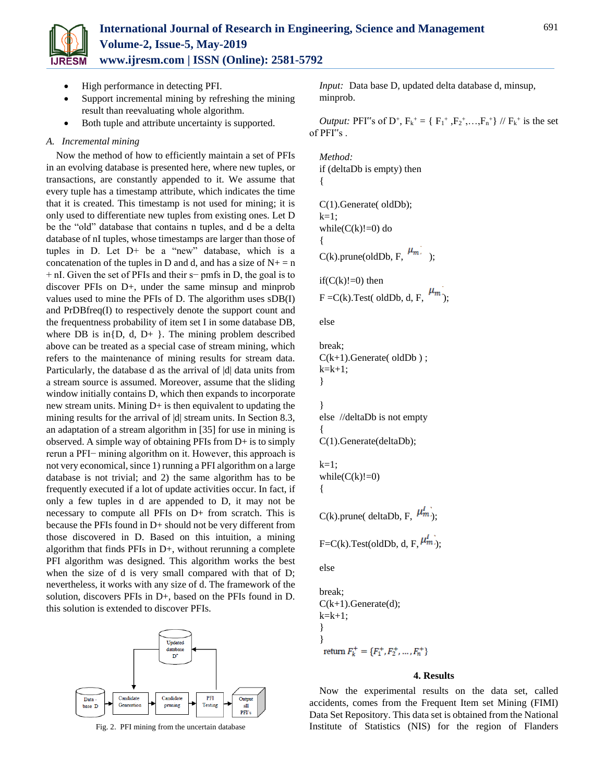

# **International Journal of Research in Engineering, Science and Management Volume-2, Issue-5, May-2019 www.ijresm.com | ISSN (Online): 2581-5792**

- High performance in detecting PFI.
- Support incremental mining by refreshing the mining result than reevaluating whole algorithm.
- Both tuple and attribute uncertainty is supported.

## *A. Incremental mining*

Now the method of how to efficiently maintain a set of PFIs in an evolving database is presented here, where new tuples, or transactions, are constantly appended to it. We assume that every tuple has a timestamp attribute, which indicates the time that it is created. This timestamp is not used for mining; it is only used to differentiate new tuples from existing ones. Let D be the "old" database that contains n tuples, and d be a delta database of nI tuples, whose timestamps are larger than those of tuples in D. Let D+ be a "new" database, which is a concatenation of the tuples in D and d, and has a size of  $N_+ = n$ + nI. Given the set of PFIs and their s− pmfs in D, the goal is to discover PFIs on D+, under the same minsup and minprob values used to mine the PFIs of D. The algorithm uses sDB(I) and PrDBfreq(I) to respectively denote the support count and the frequentness probability of item set I in some database DB, where DB is in $\{D, d, D+\}$ . The mining problem described above can be treated as a special case of stream mining, which refers to the maintenance of mining results for stream data. Particularly, the database d as the arrival of |d| data units from a stream source is assumed. Moreover, assume that the sliding window initially contains D, which then expands to incorporate new stream units. Mining D+ is then equivalent to updating the mining results for the arrival of  $|d|$  stream units. In Section 8.3, an adaptation of a stream algorithm in [35] for use in mining is observed. A simple way of obtaining PFIs from D+ is to simply rerun a PFI− mining algorithm on it. However, this approach is not very economical, since 1) running a PFI algorithm on a large database is not trivial; and 2) the same algorithm has to be frequently executed if a lot of update activities occur. In fact, if only a few tuples in d are appended to D, it may not be necessary to compute all PFIs on D+ from scratch. This is because the PFIs found in D+ should not be very different from those discovered in D. Based on this intuition, a mining algorithm that finds PFIs in D+, without rerunning a complete PFI algorithm was designed. This algorithm works the best when the size of d is very small compared with that of D; nevertheless, it works with any size of d. The framework of the solution, discovers PFIs in D+, based on the PFIs found in D. this solution is extended to discover PFIs.



Fig. 2. PFI mining from the uncertain database

*Input:* Data base D, updated delta database d, minsup, minprob.

*Output:* PFI<sup>\*</sup>'s of D<sup>+</sup>,  $F_k^+ = \{ F_1^+, F_2^+, ..., F_n^+ \}$  //  $F_k^+$  is the set of PFI"s .

```
Method:
if (deltaDb is empty) then
{
C(1).Generate( oldDb);
k=1;
while(C(k)!=0) do
{
C(k).prune(oldDb, F, \mu_{m});
if(C(k)!=0) then
F = C(k). Test( oldDb, d, F, \mu_m);
else
break;
C(k+1).Generate(oldDb);
k=k+1;}
```
} else //deltaDb is not empty { C(1).Generate(deltaDb);

```
k=1;
while(C(k)! = 0){
```
C(k).prune( deltaDb, F,  $\mu_{m}^{l}$ );

F=C(k).Test(oldDb, d, F,  $\mu_m^l$ );

```
else
```

```
break;
C(k+1). Generate(d);
k=k+1;
}
}<br>return F_k^+ = \{F_1^+, F_2^+, ..., F_n^+\}
```
## **4. Results**

Now the experimental results on the data set, called accidents, comes from the Frequent Item set Mining (FIMI) Data Set Repository. This data set is obtained from the National Institute of Statistics (NIS) for the region of Flanders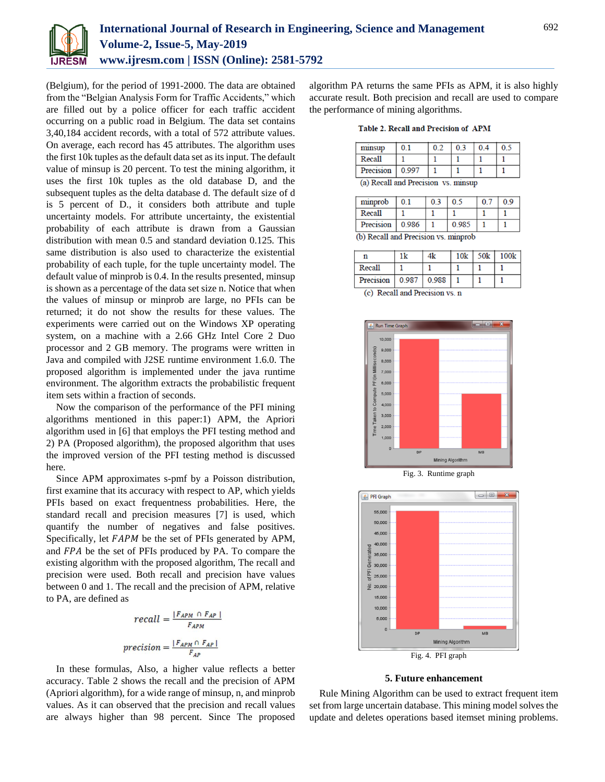

(Belgium), for the period of 1991-2000. The data are obtained from the "Belgian Analysis Form for Traffic Accidents," which are filled out by a police officer for each traffic accident occurring on a public road in Belgium. The data set contains 3,40,184 accident records, with a total of 572 attribute values. On average, each record has 45 attributes. The algorithm uses the first 10k tuples as the default data set as its input. The default value of minsup is 20 percent. To test the mining algorithm, it uses the first 10k tuples as the old database D, and the subsequent tuples as the delta database d. The default size of d is 5 percent of D., it considers both attribute and tuple uncertainty models. For attribute uncertainty, the existential probability of each attribute is drawn from a Gaussian distribution with mean 0.5 and standard deviation 0.125. This same distribution is also used to characterize the existential probability of each tuple, for the tuple uncertainty model. The default value of minprob is 0.4. In the results presented, minsup is shown as a percentage of the data set size n. Notice that when the values of minsup or minprob are large, no PFIs can be returned; it do not show the results for these values. The experiments were carried out on the Windows XP operating system, on a machine with a 2.66 GHz Intel Core 2 Duo processor and 2 GB memory. The programs were written in Java and compiled with J2SE runtime environment 1.6.0. The proposed algorithm is implemented under the java runtime environment. The algorithm extracts the probabilistic frequent item sets within a fraction of seconds.

Now the comparison of the performance of the PFI mining algorithms mentioned in this paper:1) APM, the Apriori algorithm used in [6] that employs the PFI testing method and 2) PA (Proposed algorithm), the proposed algorithm that uses the improved version of the PFI testing method is discussed here.

Since APM approximates s-pmf by a Poisson distribution, first examine that its accuracy with respect to AP, which yields PFIs based on exact frequentness probabilities. Here, the standard recall and precision measures [7] is used, which quantify the number of negatives and false positives. Specifically, let *FAPM* be the set of PFIs generated by APM, and FPA be the set of PFIs produced by PA. To compare the existing algorithm with the proposed algorithm, The recall and precision were used. Both recall and precision have values between 0 and 1. The recall and the precision of APM, relative to PA, are defined as

$$
recall = \frac{|F_{APM} \cap F_{AP}|}{F_{APM}}
$$

$$
precision = \frac{|F_{APM} \cap F_{AP}|}{F_{AP}}
$$

In these formulas, Also, a higher value reflects a better accuracy. Table 2 shows the recall and the precision of APM (Apriori algorithm), for a wide range of minsup, n, and minprob values. As it can observed that the precision and recall values are always higher than 98 percent. Since The proposed

algorithm PA returns the same PFIs as APM, it is also highly accurate result. Both precision and recall are used to compare the performance of mining algorithms.

**Table 2. Recall and Precision of APM** 

|                                     | minsup    | 0.1   | 02 | 0 <sup>3</sup> | 0.4 | 0 <sup>5</sup> |
|-------------------------------------|-----------|-------|----|----------------|-----|----------------|
|                                     | Recall    |       |    |                |     |                |
|                                     | Precision | 0.997 |    |                |     |                |
| (a) Recall and Precision vs. minsup |           |       |    |                |     |                |

| minprob                              | 0 <sub>1</sub> |  | 0.5   | 0.7 | 0.9 |  |
|--------------------------------------|----------------|--|-------|-----|-----|--|
| Recall                               |                |  |       |     |     |  |
| Precision   0.986                    |                |  | 0.985 |     |     |  |
| (b) Recall and Precision vs. minorob |                |  |       |     |     |  |

| n                         |  | $10k$ 50 $k$ | 100k |
|---------------------------|--|--------------|------|
| Recall                    |  |              |      |
| Precision   0.987   0.988 |  |              |      |

<sup>(</sup>c) Recall and Precision vs. n





**5. Future enhancement**

Rule Mining Algorithm can be used to extract frequent item set from large uncertain database. This mining model solves the update and deletes operations based itemset mining problems.